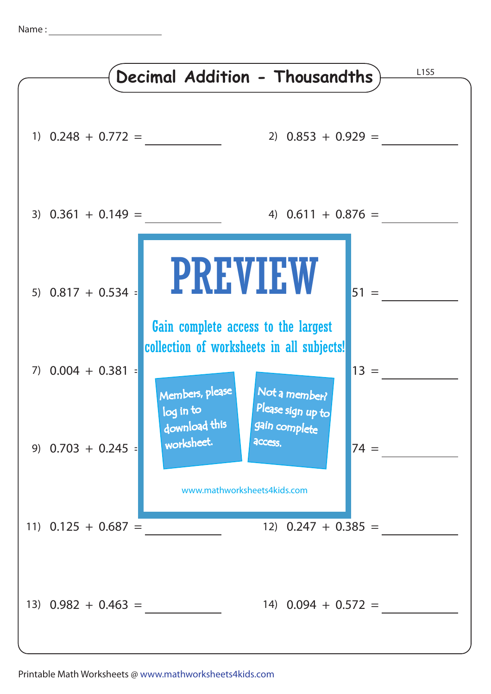